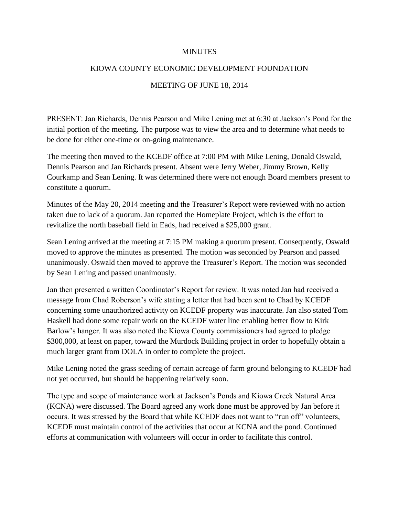## MINUTES

## KIOWA COUNTY ECONOMIC DEVELOPMENT FOUNDATION

## MEETING OF JUNE 18, 2014

PRESENT: Jan Richards, Dennis Pearson and Mike Lening met at 6:30 at Jackson's Pond for the initial portion of the meeting. The purpose was to view the area and to determine what needs to be done for either one-time or on-going maintenance.

The meeting then moved to the KCEDF office at 7:00 PM with Mike Lening, Donald Oswald, Dennis Pearson and Jan Richards present. Absent were Jerry Weber, Jimmy Brown, Kelly Courkamp and Sean Lening. It was determined there were not enough Board members present to constitute a quorum.

Minutes of the May 20, 2014 meeting and the Treasurer's Report were reviewed with no action taken due to lack of a quorum. Jan reported the Homeplate Project, which is the effort to revitalize the north baseball field in Eads, had received a \$25,000 grant.

Sean Lening arrived at the meeting at 7:15 PM making a quorum present. Consequently, Oswald moved to approve the minutes as presented. The motion was seconded by Pearson and passed unanimously. Oswald then moved to approve the Treasurer's Report. The motion was seconded by Sean Lening and passed unanimously.

Jan then presented a written Coordinator's Report for review. It was noted Jan had received a message from Chad Roberson's wife stating a letter that had been sent to Chad by KCEDF concerning some unauthorized activity on KCEDF property was inaccurate. Jan also stated Tom Haskell had done some repair work on the KCEDF water line enabling better flow to Kirk Barlow's hanger. It was also noted the Kiowa County commissioners had agreed to pledge \$300,000, at least on paper, toward the Murdock Building project in order to hopefully obtain a much larger grant from DOLA in order to complete the project.

Mike Lening noted the grass seeding of certain acreage of farm ground belonging to KCEDF had not yet occurred, but should be happening relatively soon.

The type and scope of maintenance work at Jackson's Ponds and Kiowa Creek Natural Area (KCNA) were discussed. The Board agreed any work done must be approved by Jan before it occurs. It was stressed by the Board that while KCEDF does not want to "run off" volunteers, KCEDF must maintain control of the activities that occur at KCNA and the pond. Continued efforts at communication with volunteers will occur in order to facilitate this control.